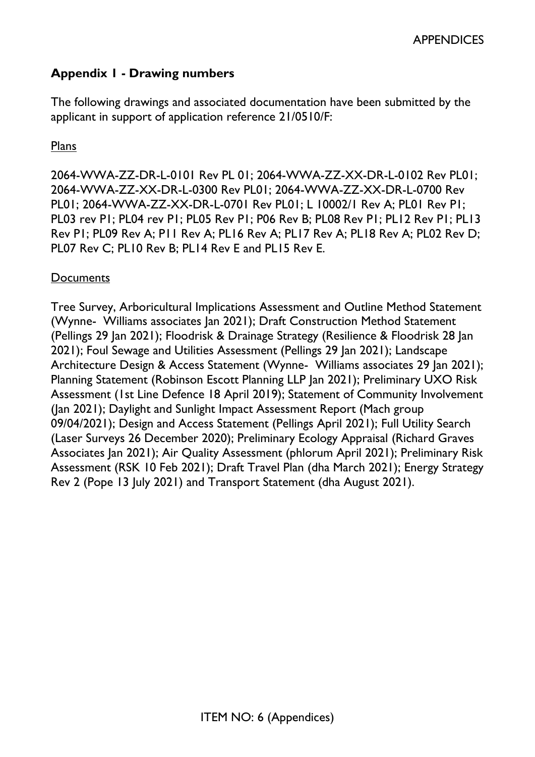# **Appendix 1 - Drawing numbers**

The following drawings and associated documentation have been submitted by the applicant in support of application reference 21/0510/F:

### Plans

2064-WWA-ZZ-DR-L-0101 Rev PL 01; 2064-WWA-ZZ-XX-DR-L-0102 Rev PL01; 2064-WWA-ZZ-XX-DR-L-0300 Rev PL01; 2064-WWA-ZZ-XX-DR-L-0700 Rev PL01; 2064-WWA-ZZ-XX-DR-L-0701 Rev PL01; L 10002/1 Rev A; PL01 Rev P1; PL03 rev P1; PL04 rev P1; PL05 Rev P1; P06 Rev B; PL08 Rev P1; PL12 Rev P1; PL13 Rev P1; PL09 Rev A; P11 Rev A; PL16 Rev A; PL17 Rev A; PL18 Rev A; PL02 Rev D; PL07 Rev C; PL10 Rev B; PL14 Rev E and PL15 Rev E.

## **Documents**

Tree Survey, Arboricultural Implications Assessment and Outline Method Statement (Wynne- Williams associates Jan 2021); Draft Construction Method Statement (Pellings 29 Jan 2021); Floodrisk & Drainage Strategy (Resilience & Floodrisk 28 Jan 2021); Foul Sewage and Utilities Assessment (Pellings 29 Jan 2021); Landscape Architecture Design & Access Statement (Wynne- Williams associates 29 Jan 2021); Planning Statement (Robinson Escott Planning LLP Jan 2021); Preliminary UXO Risk Assessment (1st Line Defence 18 April 2019); Statement of Community Involvement (Jan 2021); Daylight and Sunlight Impact Assessment Report (Mach group 09/04/2021); Design and Access Statement (Pellings April 2021); Full Utility Search (Laser Surveys 26 December 2020); Preliminary Ecology Appraisal (Richard Graves Associates Jan 2021); Air Quality Assessment (phlorum April 2021); Preliminary Risk Assessment (RSK 10 Feb 2021); Draft Travel Plan (dha March 2021); Energy Strategy Rev 2 (Pope 13 July 2021) and Transport Statement (dha August 2021).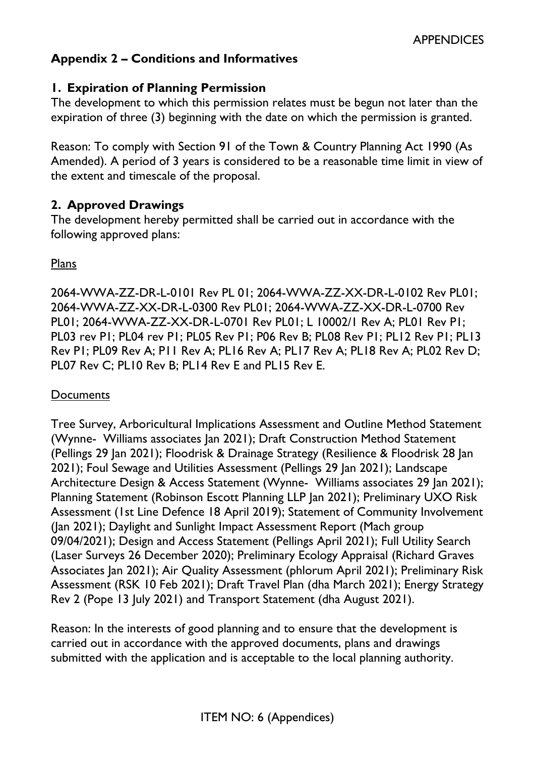# **Appendix 2 – Conditions and Informatives**

### **1. Expiration of Planning Permission**

The development to which this permission relates must be begun not later than the expiration of three (3) beginning with the date on which the permission is granted.

Reason: To comply with Section 91 of the Town & Country Planning Act 1990 (As Amended). A period of 3 years is considered to be a reasonable time limit in view of the extent and timescale of the proposal.

### **2. Approved Drawings**

The development hereby permitted shall be carried out in accordance with the following approved plans:

Plans

2064-WWA-ZZ-DR-L-0101 Rev PL 01; 2064-WWA-ZZ-XX-DR-L-0102 Rev PL01; 2064-WWA-ZZ-XX-DR-L-0300 Rev PL01; 2064-WWA-ZZ-XX-DR-L-0700 Rev PL01; 2064-WWA-ZZ-XX-DR-L-0701 Rev PL01; L 10002/1 Rev A; PL01 Rev P1; PL03 rev P1; PL04 rev P1; PL05 Rev P1; P06 Rev B; PL08 Rev P1; PL12 Rev P1; PL13 Rev P1; PL09 Rev A; P11 Rev A; PL16 Rev A; PL17 Rev A; PL18 Rev A; PL02 Rev D; PL07 Rev C; PL10 Rev B; PL14 Rev E and PL15 Rev E.

### **Documents**

Tree Survey, Arboricultural Implications Assessment and Outline Method Statement (Wynne- Williams associates Jan 2021); Draft Construction Method Statement (Pellings 29 Jan 2021); Floodrisk & Drainage Strategy (Resilience & Floodrisk 28 Jan 2021); Foul Sewage and Utilities Assessment (Pellings 29 Jan 2021); Landscape Architecture Design & Access Statement (Wynne- Williams associates 29 Jan 2021); Planning Statement (Robinson Escott Planning LLP Jan 2021); Preliminary UXO Risk Assessment (1st Line Defence 18 April 2019); Statement of Community Involvement (Jan 2021); Daylight and Sunlight Impact Assessment Report (Mach group 09/04/2021); Design and Access Statement (Pellings April 2021); Full Utility Search (Laser Surveys 26 December 2020); Preliminary Ecology Appraisal (Richard Graves Associates Jan 2021); Air Quality Assessment (phlorum April 2021); Preliminary Risk Assessment (RSK 10 Feb 2021); Draft Travel Plan (dha March 2021); Energy Strategy Rev 2 (Pope 13 July 2021) and Transport Statement (dha August 2021).

Reason: In the interests of good planning and to ensure that the development is carried out in accordance with the approved documents, plans and drawings submitted with the application and is acceptable to the local planning authority.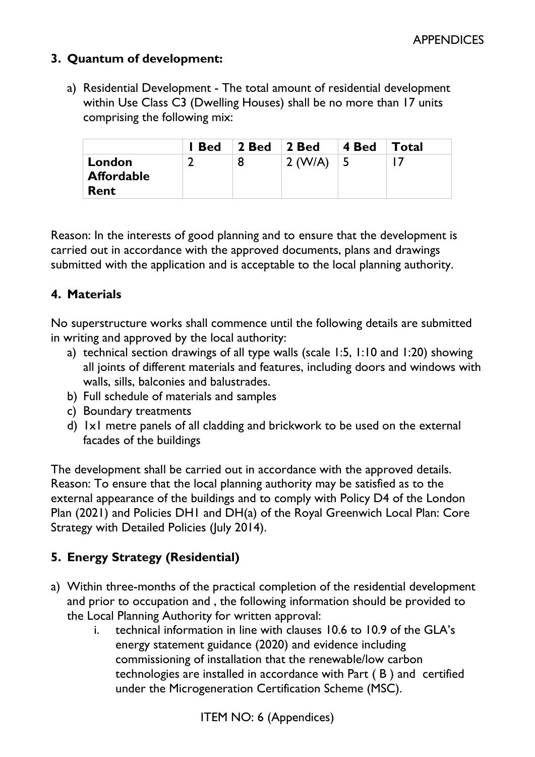## **3. Quantum of development:**

a) Residential Development - The total amount of residential development within Use Class C3 (Dwelling Houses) shall be no more than 17 units comprising the following mix:

|                   | I Bed | $\vert$ 2 Bed | 2 Bed   | 4 Bed        | <b>Total</b> |
|-------------------|-------|---------------|---------|--------------|--------------|
| London            |       | 8             | 2 (W/A) | $\mathsf{L}$ |              |
| <b>Affordable</b> |       |               |         |              |              |
| <b>Rent</b>       |       |               |         |              |              |

Reason: In the interests of good planning and to ensure that the development is carried out in accordance with the approved documents, plans and drawings submitted with the application and is acceptable to the local planning authority.

## **4. Materials**

No superstructure works shall commence until the following details are submitted in writing and approved by the local authority:

- a) technical section drawings of all type walls (scale 1:5, 1:10 and 1:20) showing all joints of different materials and features, including doors and windows with walls, sills, balconies and balustrades.
- b) Full schedule of materials and samples
- c) Boundary treatments
- d) 1x1 metre panels of all cladding and brickwork to be used on the external facades of the buildings

The development shall be carried out in accordance with the approved details. Reason: To ensure that the local planning authority may be satisfied as to the external appearance of the buildings and to comply with Policy D4 of the London Plan (2021) and Policies DH1 and DH(a) of the Royal Greenwich Local Plan: Core Strategy with Detailed Policies (July 2014).

# **5. Energy Strategy (Residential)**

- a) Within three-months of the practical completion of the residential development and prior to occupation and , the following information should be provided to the Local Planning Authority for written approval:
	- i. technical information in line with clauses 10.6 to 10.9 of the GLA's energy statement guidance (2020) and evidence including commissioning of installation that the renewable/low carbon technologies are installed in accordance with Part ( B ) and certified under the Microgeneration Certification Scheme (MSC).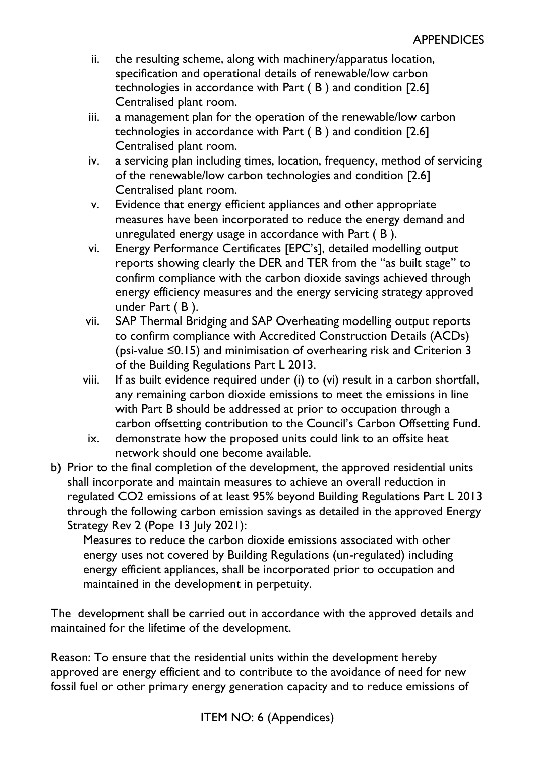- ii. the resulting scheme, along with machinery/apparatus location, specification and operational details of renewable/low carbon technologies in accordance with Part ( B ) and condition [2.6] Centralised plant room.
- iii. a management plan for the operation of the renewable/low carbon technologies in accordance with Part ( B ) and condition [2.6] Centralised plant room.
- iv. a servicing plan including times, location, frequency, method of servicing of the renewable/low carbon technologies and condition [2.6] Centralised plant room.
- v. Evidence that energy efficient appliances and other appropriate measures have been incorporated to reduce the energy demand and unregulated energy usage in accordance with Part ( B ).
- vi. Energy Performance Certificates [EPC's], detailed modelling output reports showing clearly the DER and TER from the "as built stage" to confirm compliance with the carbon dioxide savings achieved through energy efficiency measures and the energy servicing strategy approved under Part ( B ).
- vii. SAP Thermal Bridging and SAP Overheating modelling output reports to confirm compliance with Accredited Construction Details (ACDs) (psi-value ≤0.15) and minimisation of overhearing risk and Criterion 3 of the Building Regulations Part L 2013.
- viii. If as built evidence required under (i) to (vi) result in a carbon shortfall, any remaining carbon dioxide emissions to meet the emissions in line with Part B should be addressed at prior to occupation through a carbon offsetting contribution to the Council's Carbon Offsetting Fund.
- ix. demonstrate how the proposed units could link to an offsite heat network should one become available.
- b) Prior to the final completion of the development, the approved residential units shall incorporate and maintain measures to achieve an overall reduction in regulated CO2 emissions of at least 95% beyond Building Regulations Part L 2013 through the following carbon emission savings as detailed in the approved Energy Strategy Rev 2 (Pope 13 July 2021):

Measures to reduce the carbon dioxide emissions associated with other energy uses not covered by Building Regulations (un-regulated) including energy efficient appliances, shall be incorporated prior to occupation and maintained in the development in perpetuity.

The development shall be carried out in accordance with the approved details and maintained for the lifetime of the development.

Reason: To ensure that the residential units within the development hereby approved are energy efficient and to contribute to the avoidance of need for new fossil fuel or other primary energy generation capacity and to reduce emissions of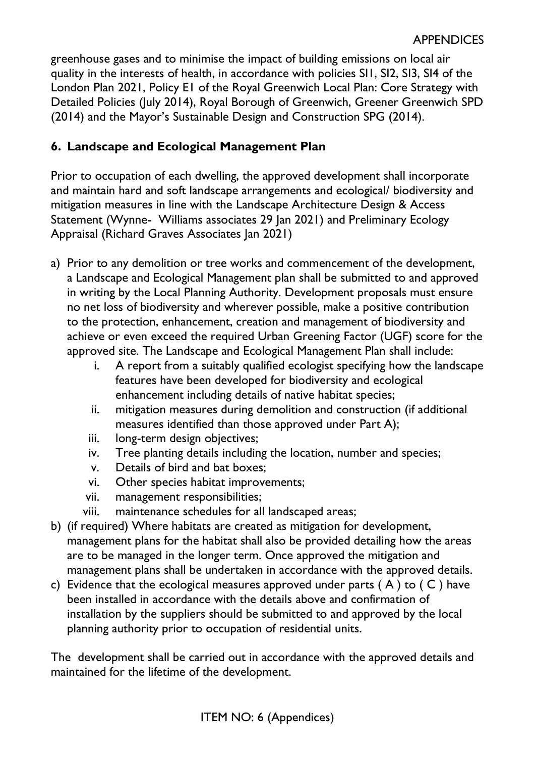greenhouse gases and to minimise the impact of building emissions on local air quality in the interests of health, in accordance with policies SI1, SI2, SI3, SI4 of the London Plan 2021, Policy E1 of the Royal Greenwich Local Plan: Core Strategy with Detailed Policies (July 2014), Royal Borough of Greenwich, Greener Greenwich SPD (2014) and the Mayor's Sustainable Design and Construction SPG (2014).

# **6. Landscape and Ecological Management Plan**

Prior to occupation of each dwelling, the approved development shall incorporate and maintain hard and soft landscape arrangements and ecological/ biodiversity and mitigation measures in line with the Landscape Architecture Design & Access Statement (Wynne- Williams associates 29 Jan 2021) and Preliminary Ecology Appraisal (Richard Graves Associates Jan 2021)

- a) Prior to any demolition or tree works and commencement of the development, a Landscape and Ecological Management plan shall be submitted to and approved in writing by the Local Planning Authority. Development proposals must ensure no net loss of biodiversity and wherever possible, make a positive contribution to the protection, enhancement, creation and management of biodiversity and achieve or even exceed the required Urban Greening Factor (UGF) score for the approved site. The Landscape and Ecological Management Plan shall include:
	- i. A report from a suitably qualified ecologist specifying how the landscape features have been developed for biodiversity and ecological enhancement including details of native habitat species;
	- ii. mitigation measures during demolition and construction (if additional measures identified than those approved under Part A);
	- iii. long-term design objectives;
	- iv. Tree planting details including the location, number and species;
	- v. Details of bird and bat boxes;
	- vi. Other species habitat improvements;
	- vii. management responsibilities;
	- viii. maintenance schedules for all landscaped areas;
- b) (if required) Where habitats are created as mitigation for development, management plans for the habitat shall also be provided detailing how the areas are to be managed in the longer term. Once approved the mitigation and management plans shall be undertaken in accordance with the approved details.
- c) Evidence that the ecological measures approved under parts  $(A)$  to  $(C)$  have been installed in accordance with the details above and confirmation of installation by the suppliers should be submitted to and approved by the local planning authority prior to occupation of residential units.

The development shall be carried out in accordance with the approved details and maintained for the lifetime of the development.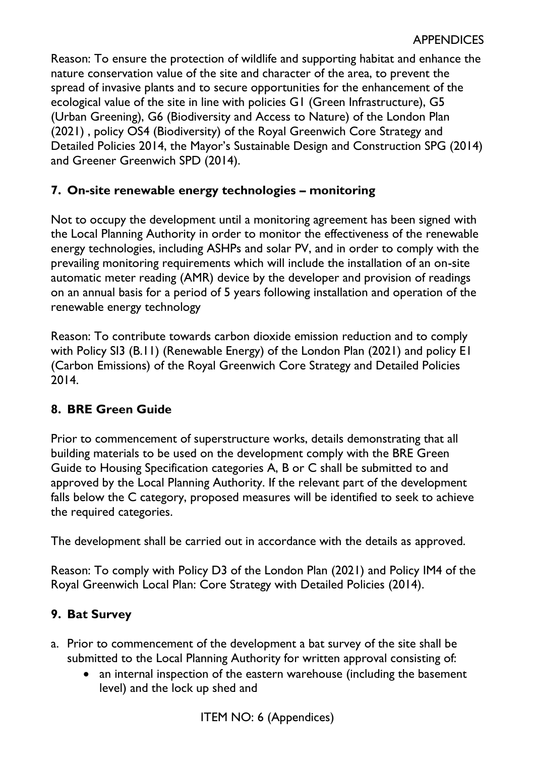Reason: To ensure the protection of wildlife and supporting habitat and enhance the nature conservation value of the site and character of the area, to prevent the spread of invasive plants and to secure opportunities for the enhancement of the ecological value of the site in line with policies G1 (Green Infrastructure), G5 (Urban Greening), G6 (Biodiversity and Access to Nature) of the London Plan (2021) , policy OS4 (Biodiversity) of the Royal Greenwich Core Strategy and Detailed Policies 2014, the Mayor's Sustainable Design and Construction SPG (2014) and Greener Greenwich SPD (2014).

# **7. On-site renewable energy technologies – monitoring**

Not to occupy the development until a monitoring agreement has been signed with the Local Planning Authority in order to monitor the effectiveness of the renewable energy technologies, including ASHPs and solar PV, and in order to comply with the prevailing monitoring requirements which will include the installation of an on-site automatic meter reading (AMR) device by the developer and provision of readings on an annual basis for a period of 5 years following installation and operation of the renewable energy technology

Reason: To contribute towards carbon dioxide emission reduction and to comply with Policy SI3 (B.11) (Renewable Energy) of the London Plan (2021) and policy E1 (Carbon Emissions) of the Royal Greenwich Core Strategy and Detailed Policies 2014.

# **8. BRE Green Guide**

Prior to commencement of superstructure works, details demonstrating that all building materials to be used on the development comply with the BRE Green Guide to Housing Specification categories A, B or C shall be submitted to and approved by the Local Planning Authority. If the relevant part of the development falls below the C category, proposed measures will be identified to seek to achieve the required categories.

The development shall be carried out in accordance with the details as approved.

Reason: To comply with Policy D3 of the London Plan (2021) and Policy IM4 of the Royal Greenwich Local Plan: Core Strategy with Detailed Policies (2014).

# **9. Bat Survey**

- a. Prior to commencement of the development a bat survey of the site shall be submitted to the Local Planning Authority for written approval consisting of:
	- an internal inspection of the eastern warehouse (including the basement level) and the lock up shed and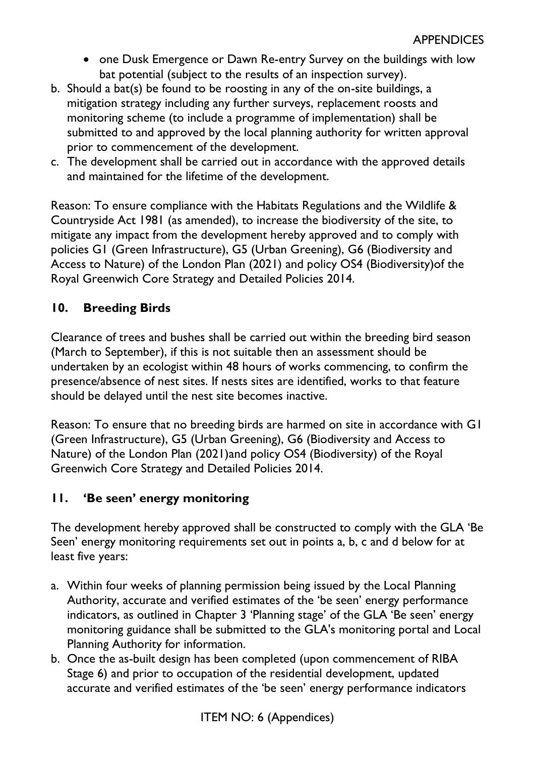- one Dusk Emergence or Dawn Re-entry Survey on the buildings with low bat potential (subject to the results of an inspection survey).
- b. Should a bat(s) be found to be roosting in any of the on-site buildings, a mitigation strategy including any further surveys, replacement roosts and monitoring scheme (to include a programme of implementation) shall be submitted to and approved by the local planning authority for written approval prior to commencement of the development.
- c. The development shall be carried out in accordance with the approved details and maintained for the lifetime of the development.

Reason: To ensure compliance with the Habitats Regulations and the Wildlife & Countryside Act 1981 (as amended), to increase the biodiversity of the site, to mitigate any impact from the development hereby approved and to comply with policies G1 (Green Infrastructure), G5 (Urban Greening), G6 (Biodiversity and Access to Nature) of the London Plan (2021) and policy OS4 (Biodiversity)of the Royal Greenwich Core Strategy and Detailed Policies 2014.

# **10. Breeding Birds**

Clearance of trees and bushes shall be carried out within the breeding bird season (March to September), if this is not suitable then an assessment should be undertaken by an ecologist within 48 hours of works commencing, to confirm the presence/absence of nest sites. If nests sites are identified, works to that feature should be delayed until the nest site becomes inactive.

Reason: To ensure that no breeding birds are harmed on site in accordance with G1 (Green Infrastructure), G5 (Urban Greening), G6 (Biodiversity and Access to Nature) of the London Plan (2021)and policy OS4 (Biodiversity) of the Royal Greenwich Core Strategy and Detailed Policies 2014.

# **11. 'Be seen' energy monitoring**

The development hereby approved shall be constructed to comply with the GLA 'Be Seen' energy monitoring requirements set out in points a, b, c and d below for at least five years:

- a. Within four weeks of planning permission being issued by the Local Planning Authority, accurate and verified estimates of the 'be seen' energy performance indicators, as outlined in Chapter 3 'Planning stage' of the GLA 'Be seen' energy monitoring guidance shall be submitted to the GLA's monitoring portal and Local Planning Authority for information.
- b. Once the as-built design has been completed (upon commencement of RIBA Stage 6) and prior to occupation of the residential development, updated accurate and verified estimates of the 'be seen' energy performance indicators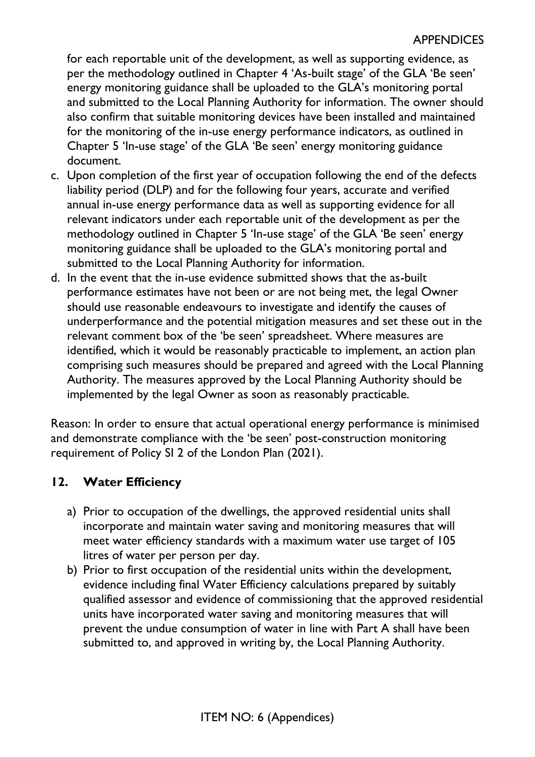for each reportable unit of the development, as well as supporting evidence, as per the methodology outlined in Chapter 4 'As-built stage' of the GLA 'Be seen' energy monitoring guidance shall be uploaded to the GLA's monitoring portal and submitted to the Local Planning Authority for information. The owner should also confirm that suitable monitoring devices have been installed and maintained for the monitoring of the in-use energy performance indicators, as outlined in Chapter 5 'In-use stage' of the GLA 'Be seen' energy monitoring guidance document.

- c. Upon completion of the first year of occupation following the end of the defects liability period (DLP) and for the following four years, accurate and verified annual in-use energy performance data as well as supporting evidence for all relevant indicators under each reportable unit of the development as per the methodology outlined in Chapter 5 'In-use stage' of the GLA 'Be seen' energy monitoring guidance shall be uploaded to the GLA's monitoring portal and submitted to the Local Planning Authority for information.
- d. In the event that the in-use evidence submitted shows that the as-built performance estimates have not been or are not being met, the legal Owner should use reasonable endeavours to investigate and identify the causes of underperformance and the potential mitigation measures and set these out in the relevant comment box of the 'be seen' spreadsheet. Where measures are identified, which it would be reasonably practicable to implement, an action plan comprising such measures should be prepared and agreed with the Local Planning Authority. The measures approved by the Local Planning Authority should be implemented by the legal Owner as soon as reasonably practicable.

Reason: In order to ensure that actual operational energy performance is minimised and demonstrate compliance with the 'be seen' post-construction monitoring requirement of Policy SI 2 of the London Plan (2021).

## **12. Water Efficiency**

- a) Prior to occupation of the dwellings, the approved residential units shall incorporate and maintain water saving and monitoring measures that will meet water efficiency standards with a maximum water use target of 105 litres of water per person per day.
- b) Prior to first occupation of the residential units within the development, evidence including final Water Efficiency calculations prepared by suitably qualified assessor and evidence of commissioning that the approved residential units have incorporated water saving and monitoring measures that will prevent the undue consumption of water in line with Part A shall have been submitted to, and approved in writing by, the Local Planning Authority.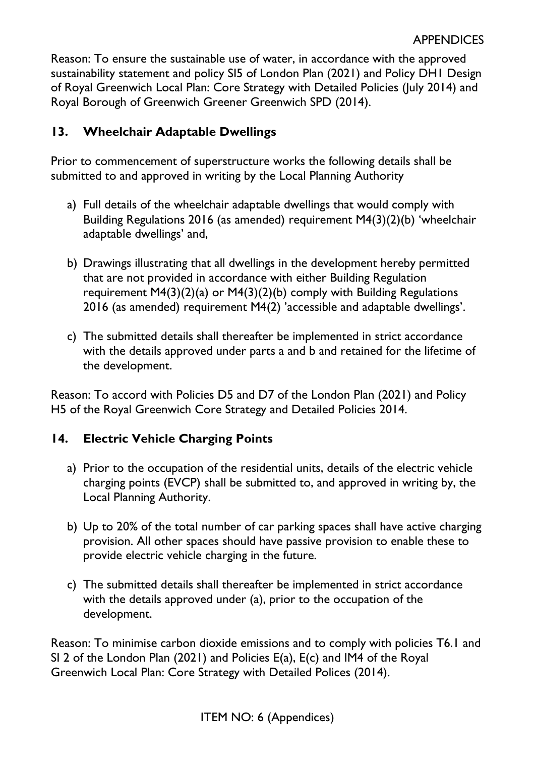Reason: To ensure the sustainable use of water, in accordance with the approved sustainability statement and policy SI5 of London Plan (2021) and Policy DH1 Design of Royal Greenwich Local Plan: Core Strategy with Detailed Policies (July 2014) and Royal Borough of Greenwich Greener Greenwich SPD (2014).

# **13. Wheelchair Adaptable Dwellings**

Prior to commencement of superstructure works the following details shall be submitted to and approved in writing by the Local Planning Authority

- a) Full details of the wheelchair adaptable dwellings that would comply with Building Regulations 2016 (as amended) requirement M4(3)(2)(b) 'wheelchair adaptable dwellings' and,
- b) Drawings illustrating that all dwellings in the development hereby permitted that are not provided in accordance with either Building Regulation requirement M4(3)(2)(a) or M4(3)(2)(b) comply with Building Regulations 2016 (as amended) requirement M4(2) 'accessible and adaptable dwellings'.
- c) The submitted details shall thereafter be implemented in strict accordance with the details approved under parts a and b and retained for the lifetime of the development.

Reason: To accord with Policies D5 and D7 of the London Plan (2021) and Policy H5 of the Royal Greenwich Core Strategy and Detailed Policies 2014.

## **14. Electric Vehicle Charging Points**

- a) Prior to the occupation of the residential units, details of the electric vehicle charging points (EVCP) shall be submitted to, and approved in writing by, the Local Planning Authority.
- b) Up to 20% of the total number of car parking spaces shall have active charging provision. All other spaces should have passive provision to enable these to provide electric vehicle charging in the future.
- c) The submitted details shall thereafter be implemented in strict accordance with the details approved under (a), prior to the occupation of the development.

Reason: To minimise carbon dioxide emissions and to comply with policies T6.1 and SI 2 of the London Plan (2021) and Policies E(a), E(c) and IM4 of the Royal Greenwich Local Plan: Core Strategy with Detailed Polices (2014).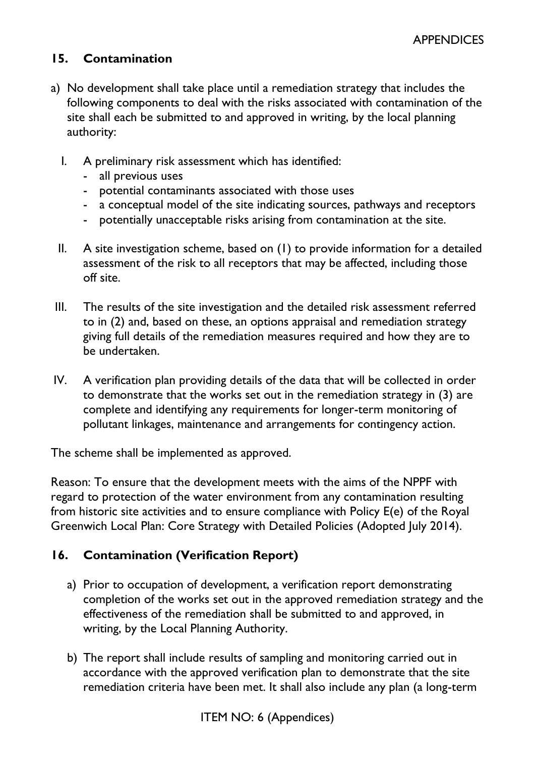## **15. Contamination**

- a) No development shall take place until a remediation strategy that includes the following components to deal with the risks associated with contamination of the site shall each be submitted to and approved in writing, by the local planning authority:
	- I. A preliminary risk assessment which has identified:
		- all previous uses
		- potential contaminants associated with those uses
		- a conceptual model of the site indicating sources, pathways and receptors
		- potentially unacceptable risks arising from contamination at the site.
	- II. A site investigation scheme, based on (1) to provide information for a detailed assessment of the risk to all receptors that may be affected, including those off site.
- III. The results of the site investigation and the detailed risk assessment referred to in (2) and, based on these, an options appraisal and remediation strategy giving full details of the remediation measures required and how they are to be undertaken.
- IV. A verification plan providing details of the data that will be collected in order to demonstrate that the works set out in the remediation strategy in (3) are complete and identifying any requirements for longer-term monitoring of pollutant linkages, maintenance and arrangements for contingency action.

The scheme shall be implemented as approved.

Reason: To ensure that the development meets with the aims of the NPPF with regard to protection of the water environment from any contamination resulting from historic site activities and to ensure compliance with Policy E(e) of the Royal Greenwich Local Plan: Core Strategy with Detailed Policies (Adopted July 2014).

## **16. Contamination (Verification Report)**

- a) Prior to occupation of development, a verification report demonstrating completion of the works set out in the approved remediation strategy and the effectiveness of the remediation shall be submitted to and approved, in writing, by the Local Planning Authority.
- b) The report shall include results of sampling and monitoring carried out in accordance with the approved verification plan to demonstrate that the site remediation criteria have been met. It shall also include any plan (a long-term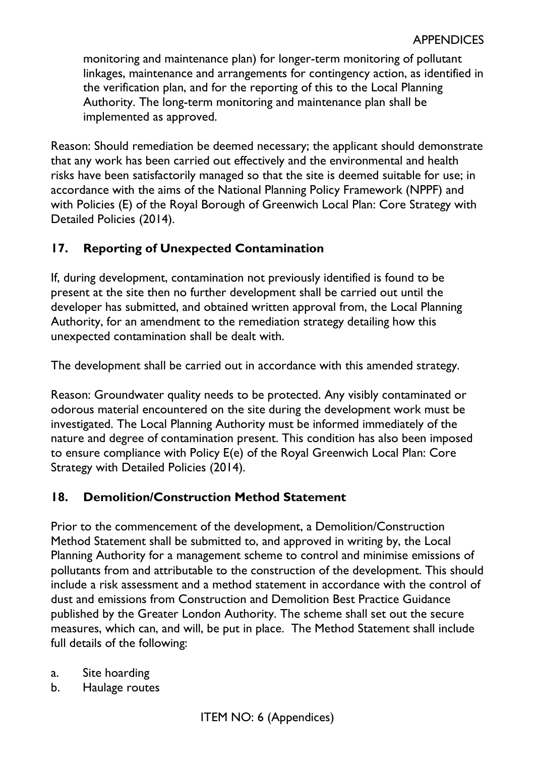monitoring and maintenance plan) for longer-term monitoring of pollutant linkages, maintenance and arrangements for contingency action, as identified in the verification plan, and for the reporting of this to the Local Planning Authority. The long-term monitoring and maintenance plan shall be implemented as approved.

Reason: Should remediation be deemed necessary; the applicant should demonstrate that any work has been carried out effectively and the environmental and health risks have been satisfactorily managed so that the site is deemed suitable for use; in accordance with the aims of the National Planning Policy Framework (NPPF) and with Policies (E) of the Royal Borough of Greenwich Local Plan: Core Strategy with Detailed Policies (2014).

# **17. Reporting of Unexpected Contamination**

If, during development, contamination not previously identified is found to be present at the site then no further development shall be carried out until the developer has submitted, and obtained written approval from, the Local Planning Authority, for an amendment to the remediation strategy detailing how this unexpected contamination shall be dealt with.

The development shall be carried out in accordance with this amended strategy.

Reason: Groundwater quality needs to be protected. Any visibly contaminated or odorous material encountered on the site during the development work must be investigated. The Local Planning Authority must be informed immediately of the nature and degree of contamination present. This condition has also been imposed to ensure compliance with Policy E(e) of the Royal Greenwich Local Plan: Core Strategy with Detailed Policies (2014).

## **18. Demolition/Construction Method Statement**

Prior to the commencement of the development, a Demolition/Construction Method Statement shall be submitted to, and approved in writing by, the Local Planning Authority for a management scheme to control and minimise emissions of pollutants from and attributable to the construction of the development. This should include a risk assessment and a method statement in accordance with the control of dust and emissions from Construction and Demolition Best Practice Guidance published by the Greater London Authority. The scheme shall set out the secure measures, which can, and will, be put in place. The Method Statement shall include full details of the following:

- a. Site hoarding
- b. Haulage routes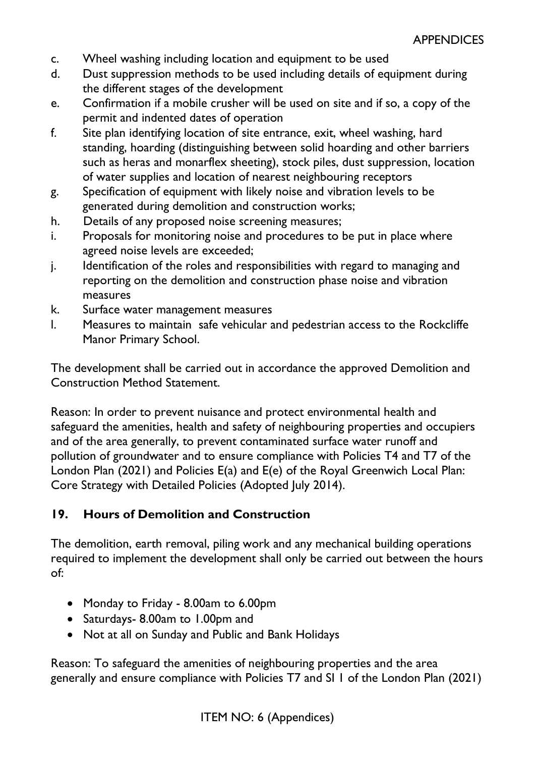- c. Wheel washing including location and equipment to be used
- d. Dust suppression methods to be used including details of equipment during the different stages of the development
- e. Confirmation if a mobile crusher will be used on site and if so, a copy of the permit and indented dates of operation
- f. Site plan identifying location of site entrance, exit, wheel washing, hard standing, hoarding (distinguishing between solid hoarding and other barriers such as heras and monarflex sheeting), stock piles, dust suppression, location of water supplies and location of nearest neighbouring receptors
- g. Specification of equipment with likely noise and vibration levels to be generated during demolition and construction works;
- h. Details of any proposed noise screening measures;
- i. Proposals for monitoring noise and procedures to be put in place where agreed noise levels are exceeded;
- j. Identification of the roles and responsibilities with regard to managing and reporting on the demolition and construction phase noise and vibration measures
- k. Surface water management measures
- l. Measures to maintain safe vehicular and pedestrian access to the Rockcliffe Manor Primary School.

The development shall be carried out in accordance the approved Demolition and Construction Method Statement.

Reason: In order to prevent nuisance and protect environmental health and safeguard the amenities, health and safety of neighbouring properties and occupiers and of the area generally, to prevent contaminated surface water runoff and pollution of groundwater and to ensure compliance with Policies T4 and T7 of the London Plan (2021) and Policies E(a) and E(e) of the Royal Greenwich Local Plan: Core Strategy with Detailed Policies (Adopted July 2014).

# **19. Hours of Demolition and Construction**

The demolition, earth removal, piling work and any mechanical building operations required to implement the development shall only be carried out between the hours of:

- Monday to Friday 8.00am to 6.00pm
- Saturdays- 8.00am to 1.00pm and
- Not at all on Sunday and Public and Bank Holidays

Reason: To safeguard the amenities of neighbouring properties and the area generally and ensure compliance with Policies T7 and SI 1 of the London Plan (2021)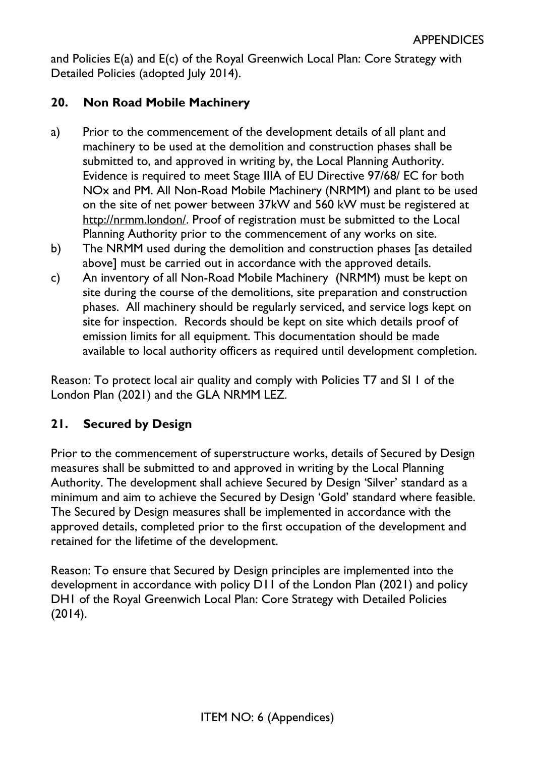and Policies E(a) and E(c) of the Royal Greenwich Local Plan: Core Strategy with Detailed Policies (adopted July 2014).

# **20. Non Road Mobile Machinery**

- a) Prior to the commencement of the development details of all plant and machinery to be used at the demolition and construction phases shall be submitted to, and approved in writing by, the Local Planning Authority. Evidence is required to meet Stage IIIA of EU Directive 97/68/ EC for both NOx and PM. All Non-Road Mobile Machinery (NRMM) and plant to be used on the site of net power between 37kW and 560 kW must be registered at http://nrmm.london/. Proof of registration must be submitted to the Local Planning Authority prior to the commencement of any works on site.
- b) The NRMM used during the demolition and construction phases [as detailed above] must be carried out in accordance with the approved details.
- c) An inventory of all Non-Road Mobile Machinery (NRMM) must be kept on site during the course of the demolitions, site preparation and construction phases. All machinery should be regularly serviced, and service logs kept on site for inspection. Records should be kept on site which details proof of emission limits for all equipment. This documentation should be made available to local authority officers as required until development completion.

Reason: To protect local air quality and comply with Policies T7 and SI 1 of the London Plan (2021) and the GLA NRMM LEZ.

# **21. Secured by Design**

Prior to the commencement of superstructure works, details of Secured by Design measures shall be submitted to and approved in writing by the Local Planning Authority. The development shall achieve Secured by Design 'Silver' standard as a minimum and aim to achieve the Secured by Design 'Gold' standard where feasible. The Secured by Design measures shall be implemented in accordance with the approved details, completed prior to the first occupation of the development and retained for the lifetime of the development.

Reason: To ensure that Secured by Design principles are implemented into the development in accordance with policy D11 of the London Plan (2021) and policy DH1 of the Royal Greenwich Local Plan: Core Strategy with Detailed Policies  $(2014).$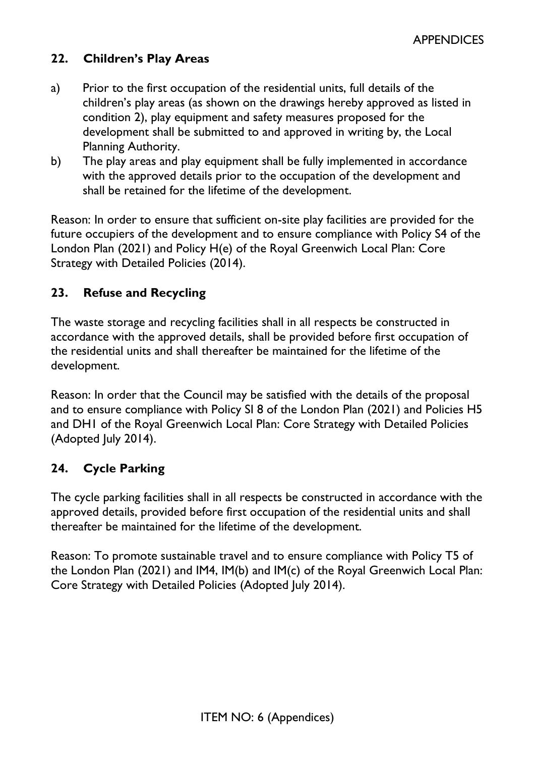# **22. Children's Play Areas**

- a) Prior to the first occupation of the residential units, full details of the children's play areas (as shown on the drawings hereby approved as listed in condition 2), play equipment and safety measures proposed for the development shall be submitted to and approved in writing by, the Local Planning Authority.
- b) The play areas and play equipment shall be fully implemented in accordance with the approved details prior to the occupation of the development and shall be retained for the lifetime of the development.

Reason: In order to ensure that sufficient on-site play facilities are provided for the future occupiers of the development and to ensure compliance with Policy S4 of the London Plan (2021) and Policy H(e) of the Royal Greenwich Local Plan: Core Strategy with Detailed Policies (2014).

## **23. Refuse and Recycling**

The waste storage and recycling facilities shall in all respects be constructed in accordance with the approved details, shall be provided before first occupation of the residential units and shall thereafter be maintained for the lifetime of the development.

Reason: In order that the Council may be satisfied with the details of the proposal and to ensure compliance with Policy SI 8 of the London Plan (2021) and Policies H5 and DH1 of the Royal Greenwich Local Plan: Core Strategy with Detailed Policies (Adopted July 2014).

## **24. Cycle Parking**

The cycle parking facilities shall in all respects be constructed in accordance with the approved details, provided before first occupation of the residential units and shall thereafter be maintained for the lifetime of the development.

Reason: To promote sustainable travel and to ensure compliance with Policy T5 of the London Plan (2021) and IM4, IM(b) and IM(c) of the Royal Greenwich Local Plan: Core Strategy with Detailed Policies (Adopted July 2014).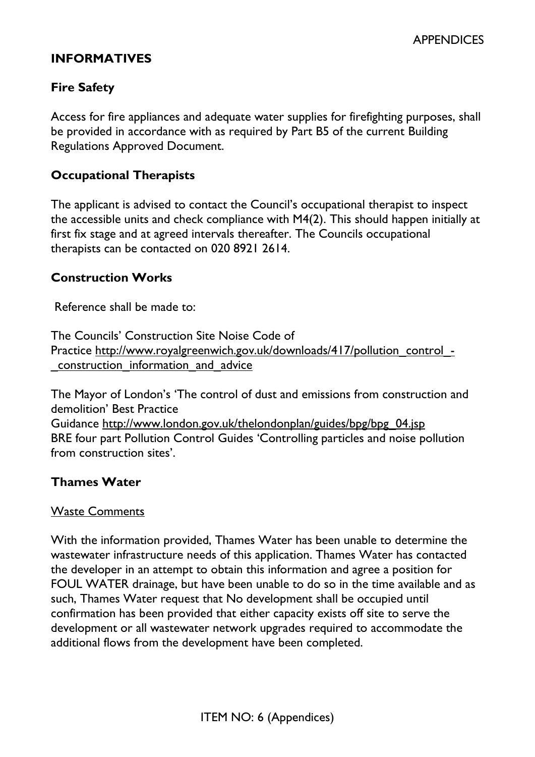# **INFORMATIVES**

# **Fire Safety**

Access for fire appliances and adequate water supplies for firefighting purposes, shall be provided in accordance with as required by Part B5 of the current Building Regulations Approved Document.

### **Occupational Therapists**

The applicant is advised to contact the Council's occupational therapist to inspect the accessible units and check compliance with M4(2). This should happen initially at first fix stage and at agreed intervals thereafter. The Councils occupational therapists can be contacted on 020 8921 2614.

### **Construction Works**

Reference shall be made to:

The Councils' Construction Site Noise Code of Practice http://www.royalgreenwich.gov.uk/downloads/417/pollution\_control\_-\_construction\_information\_and\_advice

The Mayor of London's 'The control of dust and emissions from construction and demolition' Best Practice Guidance http://www.london.gov.uk/thelondonplan/guides/bpg/bpg\_04.jsp BRE four part Pollution Control Guides 'Controlling particles and noise pollution from construction sites'.

## **Thames Water**

### Waste Comments

With the information provided, Thames Water has been unable to determine the wastewater infrastructure needs of this application. Thames Water has contacted the developer in an attempt to obtain this information and agree a position for FOUL WATER drainage, but have been unable to do so in the time available and as such, Thames Water request that No development shall be occupied until confirmation has been provided that either capacity exists off site to serve the development or all wastewater network upgrades required to accommodate the additional flows from the development have been completed.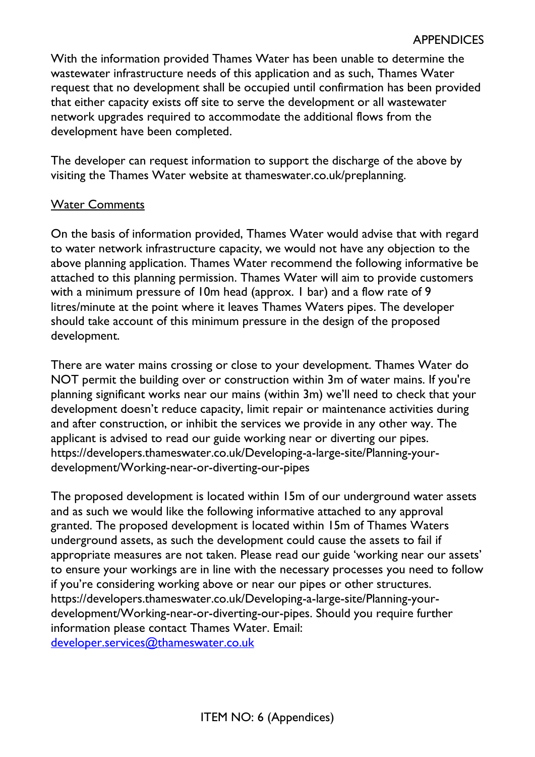With the information provided Thames Water has been unable to determine the wastewater infrastructure needs of this application and as such, Thames Water request that no development shall be occupied until confirmation has been provided that either capacity exists off site to serve the development or all wastewater network upgrades required to accommodate the additional flows from the development have been completed.

The developer can request information to support the discharge of the above by visiting the Thames Water website at thameswater.co.uk/preplanning.

### Water Comments

On the basis of information provided, Thames Water would advise that with regard to water network infrastructure capacity, we would not have any objection to the above planning application. Thames Water recommend the following informative be attached to this planning permission. Thames Water will aim to provide customers with a minimum pressure of 10m head (approx. 1 bar) and a flow rate of 9 litres/minute at the point where it leaves Thames Waters pipes. The developer should take account of this minimum pressure in the design of the proposed development.

There are water mains crossing or close to your development. Thames Water do NOT permit the building over or construction within 3m of water mains. If you're planning significant works near our mains (within 3m) we'll need to check that your development doesn't reduce capacity, limit repair or maintenance activities during and after construction, or inhibit the services we provide in any other way. The applicant is advised to read our guide working near or diverting our pipes. https://developers.thameswater.co.uk/Developing-a-large-site/Planning-yourdevelopment/Working-near-or-diverting-our-pipes

The proposed development is located within 15m of our underground water assets and as such we would like the following informative attached to any approval granted. The proposed development is located within 15m of Thames Waters underground assets, as such the development could cause the assets to fail if appropriate measures are not taken. Please read our guide 'working near our assets' to ensure your workings are in line with the necessary processes you need to follow if you're considering working above or near our pipes or other structures. https://developers.thameswater.co.uk/Developing-a-large-site/Planning-yourdevelopment/Working-near-or-diverting-our-pipes. Should you require further information please contact Thames Water. Email: [developer.services@thameswater.co.uk](mailto:developer.services@thameswater.co.uk)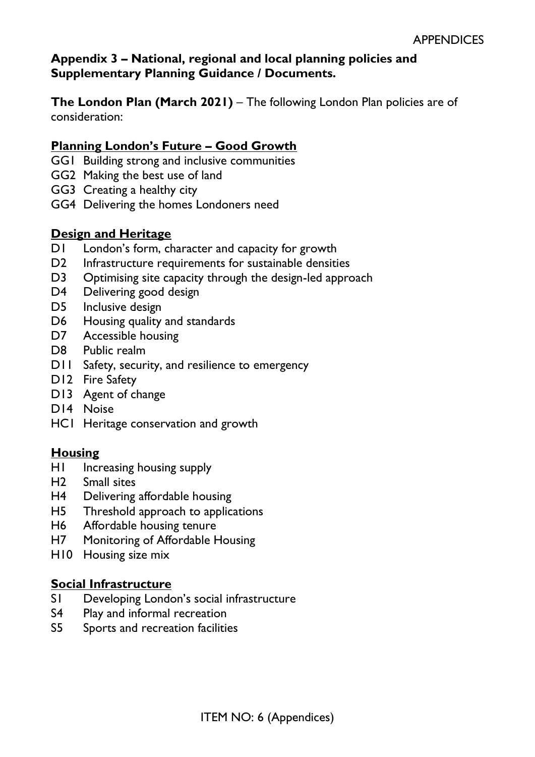# **Appendix 3 – National, regional and local planning policies and Supplementary Planning Guidance / Documents.**

**The London Plan (March 2021)** – The following London Plan policies are of consideration:

## **Planning London's Future – Good Growth**

- GG1 Building strong and inclusive communities
- GG2 Making the best use of land
- GG3 Creating a healthy city
- GG4 Delivering the homes Londoners need

## **Design and Heritage**

- D1 London's form, character and capacity for growth
- D2 Infrastructure requirements for sustainable densities
- D3 Optimising site capacity through the design-led approach
- D4 Delivering good design
- D5 Inclusive design
- D6 Housing quality and standards
- D7 Accessible housing
- D8 Public realm
- D11 Safety, security, and resilience to emergency
- D12 Fire Safety
- D13 Agent of change
- D14 Noise
- HC1 Heritage conservation and growth

## **Housing**

- H1 Increasing housing supply
- H2 Small sites
- H4 Delivering affordable housing
- H5 Threshold approach to applications
- H6 Affordable housing tenure
- H7 Monitoring of Affordable Housing
- H10 Housing size mix

## **Social Infrastructure**

- S1 Developing London's social infrastructure
- S4 Play and informal recreation
- S5 Sports and recreation facilities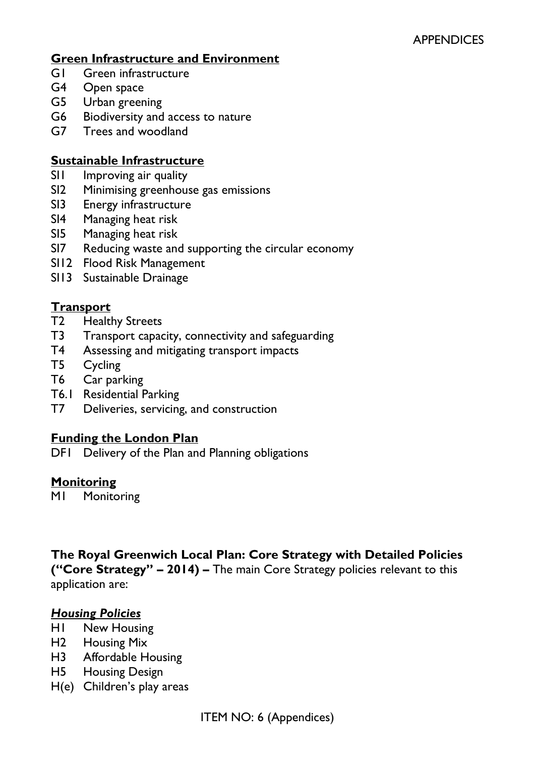## **Green Infrastructure and Environment**

- G1 Green infrastructure
- G4 Open space
- G5 Urban greening
- G6 Biodiversity and access to nature
- G7 Trees and woodland

### **Sustainable Infrastructure**

- SII Improving air quality
- SI2 Minimising greenhouse gas emissions
- SI3 Energy infrastructure
- SI4 Managing heat risk
- SI5 Managing heat risk
- SI7 Reducing waste and supporting the circular economy
- SI12 Flood Risk Management
- SI13 Sustainable Drainage

## **Transport**

- T2 Healthy Streets
- T3 Transport capacity, connectivity and safeguarding
- T4 Assessing and mitigating transport impacts
- T5 Cycling
- T6 Car parking
- T6.1 Residential Parking
- T7 Deliveries, servicing, and construction

## **Funding the London Plan**

DF1 Delivery of the Plan and Planning obligations

### **Monitoring**

M1 Monitoring

## **The Royal Greenwich Local Plan: Core Strategy with Detailed Policies ("Core Strategy" – 2014) –** The main Core Strategy policies relevant to this

application are:

### *Housing Policies*

- H1 New Housing
- H2 Housing Mix
- H3 Affordable Housing
- H5 Housing Design
- H(e) Children's play areas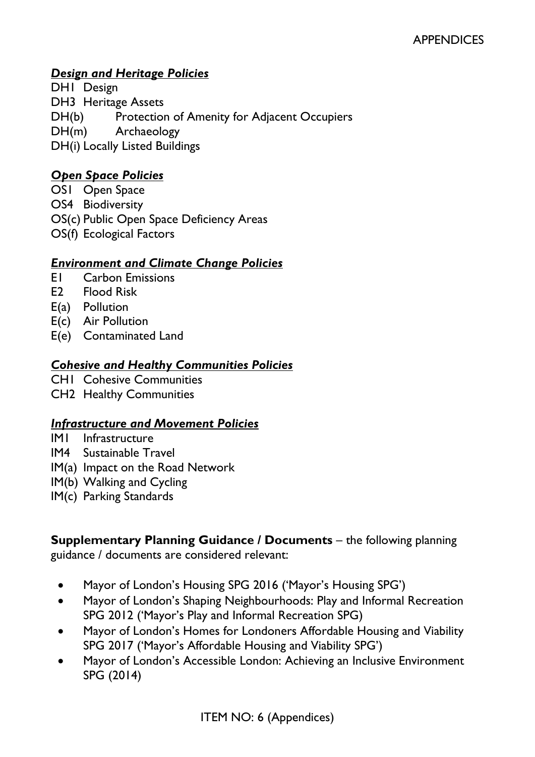# *Design and Heritage Policies*

DH1 Design DH3 Heritage Assets DH(b) Protection of Amenity for Adjacent Occupiers DH(m) Archaeology DH(i) Locally Listed Buildings

### *Open Space Policies*

OS1 Open Space OS4 Biodiversity OS(c) Public Open Space Deficiency Areas OS(f) Ecological Factors

### *Environment and Climate Change Policies*

- E1 Carbon Emissions
- E2 Flood Risk
- E(a) Pollution
- E(c) Air Pollution
- E(e) Contaminated Land

### *Cohesive and Healthy Communities Policies*

- CH1 Cohesive Communities
- CH2 Healthy Communities

### *Infrastructure and Movement Policies*

- IM1 Infrastructure
- IM4 Sustainable Travel
- IM(a) Impact on the Road Network
- IM(b) Walking and Cycling
- IM(c) Parking Standards

**Supplementary Planning Guidance / Documents** – the following planning guidance / documents are considered relevant:

- Mayor of London's Housing SPG 2016 ('Mayor's Housing SPG')
- Mayor of London's Shaping Neighbourhoods: Play and Informal Recreation SPG 2012 ('Mayor's Play and Informal Recreation SPG)
- Mayor of London's Homes for Londoners Affordable Housing and Viability SPG 2017 ('Mayor's Affordable Housing and Viability SPG')
- Mayor of London's Accessible London: Achieving an Inclusive Environment SPG (2014)